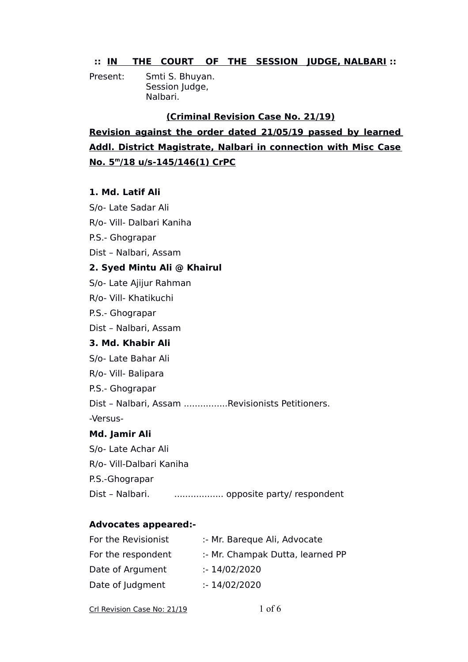## **:: IN THE COURT OF THE SESSION JUDGE, NALBARI ::**

Present: Smti S. Bhuyan. Session Judge, Nalbari.

#### **(Criminal Revision Case No. 21/19)**

**Revision against the order dated 21/05/19 passed by learned Addl. District Magistrate, Nalbari in connection with Misc Case No. 5<sup>m</sup> /18 u/s-145/146(1) CrPC**

#### **1. Md. Latif Ali**

S/o- Late Sadar Ali R/o- Vill- Dalbari Kaniha

P.S.- Ghograpar

Dist – Nalbari, Assam

## **2. Syed Mintu Ali @ Khairul**

S/o- Late Ajijur Rahman

R/o- Vill- Khatikuchi

P.S.- Ghograpar

Dist – Nalbari, Assam

#### **3. Md. Khabir Ali**

S/o- Late Bahar Ali

R/o- Vill- Balipara

P.S.- Ghograpar

Dist – Nalbari, Assam ................Revisionists Petitioners.

-Versus-

#### **Md. Jamir Ali**

S/o- Late Achar Ali

R/o- Vill-Dalbari Kaniha

P.S.-Ghograpar

Dist - Nalbari. .......................... opposite party/ respondent

## **Advocates appeared:-**

| :- Mr. Bareque Ali, Advocate     |
|----------------------------------|
| :- Mr. Champak Dutta, learned PP |
| : 14/02/2020                     |
| : 14/02/2020                     |
|                                  |

| Crl Revision Case No: 21/19 | $1$ of 6 |  |
|-----------------------------|----------|--|
|                             |          |  |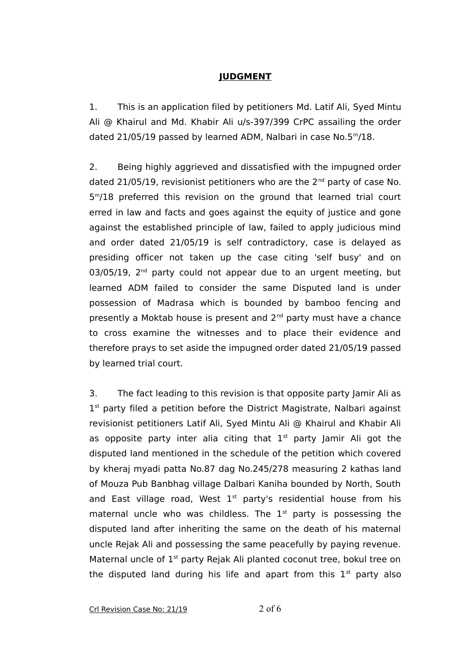# **JUDGMENT**

1. This is an application filed by petitioners Md. Latif Ali, Syed Mintu Ali @ Khairul and Md. Khabir Ali u/s-397/399 CrPC assailing the order dated 21/05/19 passed by learned ADM, Nalbari in case No.5<sup>m</sup>/18.

2. Being highly aggrieved and dissatisfied with the impugned order dated 21/05/19, revisionist petitioners who are the  $2^{nd}$  party of case No. 5 <sup>m</sup>/18 preferred this revision on the ground that learned trial court erred in law and facts and goes against the equity of justice and gone against the established principle of law, failed to apply judicious mind and order dated 21/05/19 is self contradictory, case is delayed as presiding officer not taken up the case citing 'self busy' and on  $03/05/19$ ,  $2<sup>nd</sup>$  party could not appear due to an urgent meeting, but learned ADM failed to consider the same Disputed land is under possession of Madrasa which is bounded by bamboo fencing and presently a Moktab house is present and 2<sup>nd</sup> party must have a chance to cross examine the witnesses and to place their evidence and therefore prays to set aside the impugned order dated 21/05/19 passed by learned trial court.

3. The fact leading to this revision is that opposite party Jamir Ali as 1<sup>st</sup> party filed a petition before the District Magistrate, Nalbari against revisionist petitioners Latif Ali, Syed Mintu Ali @ Khairul and Khabir Ali as opposite party inter alia citing that  $1<sup>st</sup>$  party Jamir Ali got the disputed land mentioned in the schedule of the petition which covered by kheraj myadi patta No.87 dag No.245/278 measuring 2 kathas land of Mouza Pub Banbhag village Dalbari Kaniha bounded by North, South and East village road, West  $1<sup>st</sup>$  party's residential house from his maternal uncle who was childless. The  $1<sup>st</sup>$  party is possessing the disputed land after inheriting the same on the death of his maternal uncle Rejak Ali and possessing the same peacefully by paying revenue. Maternal uncle of 1<sup>st</sup> party Rejak Ali planted coconut tree, bokul tree on the disputed land during his life and apart from this  $1<sup>st</sup>$  party also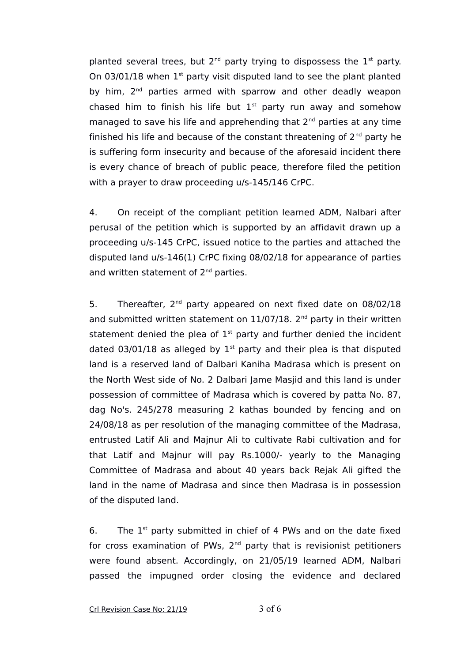planted several trees, but  $2^{nd}$  party trying to dispossess the  $1^{st}$  party. On  $03/01/18$  when  $1<sup>st</sup>$  party visit disputed land to see the plant planted by him, 2<sup>nd</sup> parties armed with sparrow and other deadly weapon chased him to finish his life but  $1<sup>st</sup>$  party run away and somehow managed to save his life and apprehending that 2<sup>nd</sup> parties at any time finished his life and because of the constant threatening of  $2^{nd}$  party he is suffering form insecurity and because of the aforesaid incident there is every chance of breach of public peace, therefore filed the petition with a prayer to draw proceeding u/s-145/146 CrPC.

4. On receipt of the compliant petition learned ADM, Nalbari after perusal of the petition which is supported by an affidavit drawn up a proceeding u/s-145 CrPC, issued notice to the parties and attached the disputed land u/s-146(1) CrPC fixing 08/02/18 for appearance of parties and written statement of 2<sup>nd</sup> parties.

5. Thereafter, 2<sup>nd</sup> party appeared on next fixed date on 08/02/18 and submitted written statement on  $11/07/18$ .  $2^{nd}$  party in their written statement denied the plea of  $1<sup>st</sup>$  party and further denied the incident dated 03/01/18 as alleged by  $1<sup>st</sup>$  party and their plea is that disputed land is a reserved land of Dalbari Kaniha Madrasa which is present on the North West side of No. 2 Dalbari Jame Masjid and this land is under possession of committee of Madrasa which is covered by patta No. 87, dag No's. 245/278 measuring 2 kathas bounded by fencing and on 24/08/18 as per resolution of the managing committee of the Madrasa, entrusted Latif Ali and Majnur Ali to cultivate Rabi cultivation and for that Latif and Majnur will pay Rs.1000/- yearly to the Managing Committee of Madrasa and about 40 years back Rejak Ali gifted the land in the name of Madrasa and since then Madrasa is in possession of the disputed land.

6. The  $1^{st}$  party submitted in chief of 4 PWs and on the date fixed for cross examination of PWs,  $2<sup>nd</sup>$  party that is revisionist petitioners were found absent. Accordingly, on 21/05/19 learned ADM, Nalbari passed the impugned order closing the evidence and declared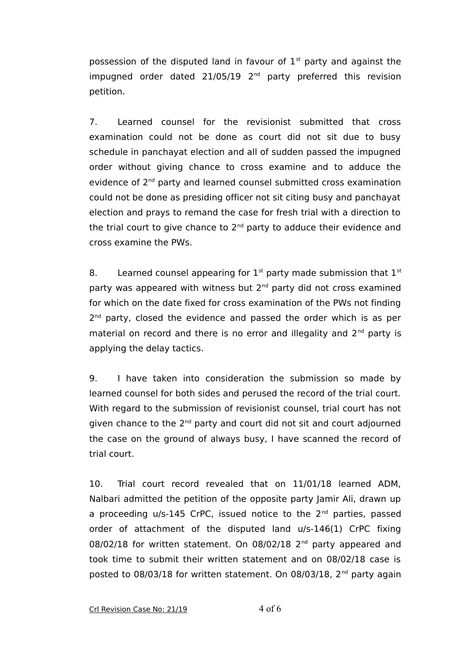possession of the disputed land in favour of  $1<sup>st</sup>$  party and against the impugned order dated 21/05/19 2<sup>nd</sup> party preferred this revision petition.

7. Learned counsel for the revisionist submitted that cross examination could not be done as court did not sit due to busy schedule in panchayat election and all of sudden passed the impugned order without giving chance to cross examine and to adduce the evidence of 2<sup>nd</sup> party and learned counsel submitted cross examination could not be done as presiding officer not sit citing busy and panchayat election and prays to remand the case for fresh trial with a direction to the trial court to give chance to  $2<sup>nd</sup>$  party to adduce their evidence and cross examine the PWs.

8. Learned counsel appearing for  $1<sup>st</sup>$  party made submission that  $1<sup>st</sup>$ party was appeared with witness but  $2<sup>nd</sup>$  party did not cross examined for which on the date fixed for cross examination of the PWs not finding 2<sup>nd</sup> party, closed the evidence and passed the order which is as per material on record and there is no error and illegality and  $2^{nd}$  party is applying the delay tactics.

9. I have taken into consideration the submission so made by learned counsel for both sides and perused the record of the trial court. With regard to the submission of revisionist counsel, trial court has not given chance to the 2<sup>nd</sup> party and court did not sit and court adjourned the case on the ground of always busy, I have scanned the record of trial court.

10. Trial court record revealed that on 11/01/18 learned ADM, Nalbari admitted the petition of the opposite party Jamir Ali, drawn up a proceeding  $u/s-145$  CrPC, issued notice to the  $2<sup>nd</sup>$  parties, passed order of attachment of the disputed land u/s-146(1) CrPC fixing 08/02/18 for written statement. On 08/02/18  $2<sup>nd</sup>$  party appeared and took time to submit their written statement and on 08/02/18 case is posted to 08/03/18 for written statement. On 08/03/18, 2<sup>nd</sup> party again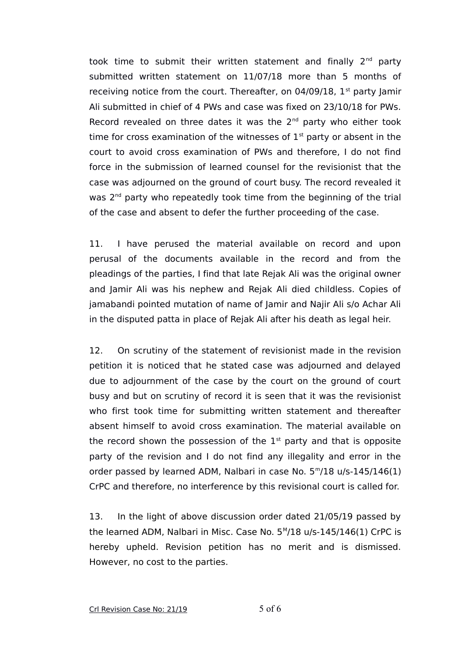took time to submit their written statement and finally  $2^{nd}$  party submitted written statement on 11/07/18 more than 5 months of receiving notice from the court. Thereafter, on  $04/09/18$ ,  $1<sup>st</sup>$  party Jamir Ali submitted in chief of 4 PWs and case was fixed on 23/10/18 for PWs. Record revealed on three dates it was the  $2<sup>nd</sup>$  party who either took time for cross examination of the witnesses of  $1<sup>st</sup>$  party or absent in the court to avoid cross examination of PWs and therefore, I do not find force in the submission of learned counsel for the revisionist that the case was adjourned on the ground of court busy. The record revealed it was 2<sup>nd</sup> party who repeatedly took time from the beginning of the trial of the case and absent to defer the further proceeding of the case.

11. I have perused the material available on record and upon perusal of the documents available in the record and from the pleadings of the parties, I find that late Rejak Ali was the original owner and Jamir Ali was his nephew and Rejak Ali died childless. Copies of jamabandi pointed mutation of name of Jamir and Najir Ali s/o Achar Ali in the disputed patta in place of Rejak Ali after his death as legal heir.

12. On scrutiny of the statement of revisionist made in the revision petition it is noticed that he stated case was adjourned and delayed due to adjournment of the case by the court on the ground of court busy and but on scrutiny of record it is seen that it was the revisionist who first took time for submitting written statement and thereafter absent himself to avoid cross examination. The material available on the record shown the possession of the  $1<sup>st</sup>$  party and that is opposite party of the revision and I do not find any illegality and error in the order passed by learned ADM, Nalbari in case No.  $5<sup>m</sup>/18$  u/s-145/146(1) CrPC and therefore, no interference by this revisional court is called for.

13. In the light of above discussion order dated 21/05/19 passed by the learned ADM, Nalbari in Misc. Case No. 5<sup>M</sup>/18 u/s-145/146(1) CrPC is hereby upheld. Revision petition has no merit and is dismissed. However, no cost to the parties.